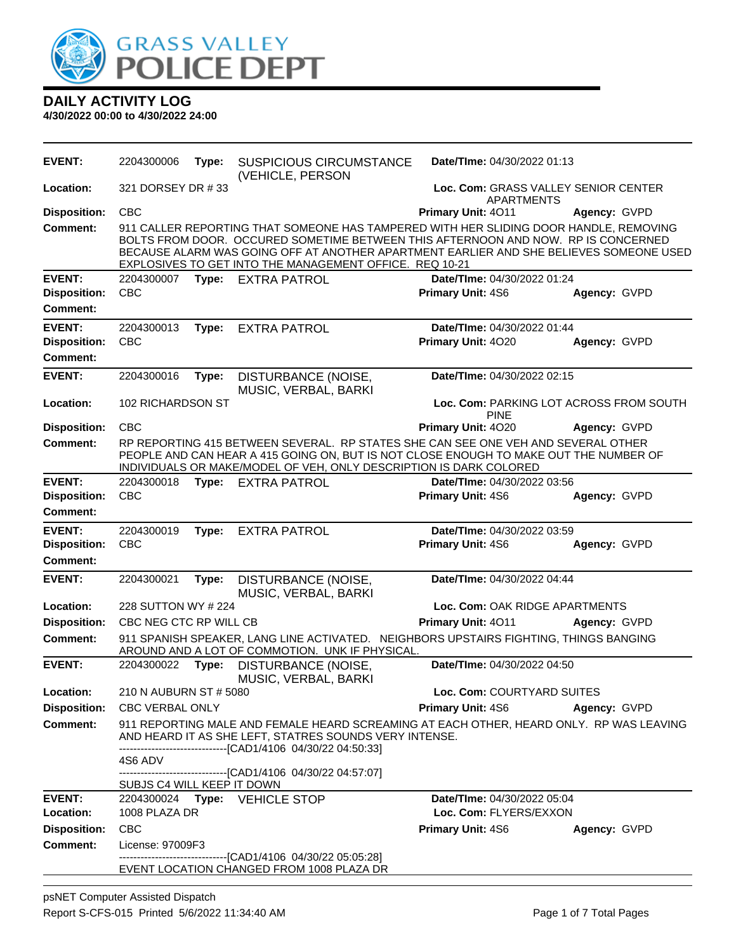

| <b>EVENT:</b>                        | 2204300006                                                                                                                                                                                                                                                                            | Type: | <b>SUSPICIOUS CIRCUMSTANCE</b><br>(VEHICLE, PERSON                                                                                                                                                                                                                                                                              | Date/TIme: 04/30/2022 01:13                               |              |
|--------------------------------------|---------------------------------------------------------------------------------------------------------------------------------------------------------------------------------------------------------------------------------------------------------------------------------------|-------|---------------------------------------------------------------------------------------------------------------------------------------------------------------------------------------------------------------------------------------------------------------------------------------------------------------------------------|-----------------------------------------------------------|--------------|
| Location:                            | 321 DORSEY DR #33                                                                                                                                                                                                                                                                     |       |                                                                                                                                                                                                                                                                                                                                 | Loc. Com: GRASS VALLEY SENIOR CENTER<br><b>APARTMENTS</b> |              |
| <b>Disposition:</b>                  | <b>CBC</b>                                                                                                                                                                                                                                                                            |       |                                                                                                                                                                                                                                                                                                                                 | Primary Unit: 4011                                        | Agency: GVPD |
| <b>Comment:</b>                      |                                                                                                                                                                                                                                                                                       |       | 911 CALLER REPORTING THAT SOMEONE HAS TAMPERED WITH HER SLIDING DOOR HANDLE, REMOVING<br>BOLTS FROM DOOR. OCCURED SOMETIME BETWEEN THIS AFTERNOON AND NOW. RP IS CONCERNED<br>BECAUSE ALARM WAS GOING OFF AT ANOTHER APARTMENT EARLIER AND SHE BELIEVES SOMEONE USED<br>EXPLOSIVES TO GET INTO THE MANAGEMENT OFFICE. REQ 10-21 |                                                           |              |
| <b>EVENT:</b>                        | 2204300007                                                                                                                                                                                                                                                                            |       | Type: EXTRA PATROL                                                                                                                                                                                                                                                                                                              | Date/TIme: 04/30/2022 01:24                               |              |
| <b>Disposition:</b>                  | <b>CBC</b>                                                                                                                                                                                                                                                                            |       |                                                                                                                                                                                                                                                                                                                                 | Primary Unit: 4S6                                         | Agency: GVPD |
| <b>Comment:</b>                      |                                                                                                                                                                                                                                                                                       |       |                                                                                                                                                                                                                                                                                                                                 |                                                           |              |
| <b>EVENT:</b>                        | 2204300013                                                                                                                                                                                                                                                                            | Type: | <b>EXTRA PATROL</b>                                                                                                                                                                                                                                                                                                             | Date/TIme: 04/30/2022 01:44                               |              |
| <b>Disposition:</b>                  | <b>CBC</b>                                                                                                                                                                                                                                                                            |       |                                                                                                                                                                                                                                                                                                                                 | Primary Unit: 4020                                        | Agency: GVPD |
| <b>Comment:</b>                      |                                                                                                                                                                                                                                                                                       |       |                                                                                                                                                                                                                                                                                                                                 |                                                           |              |
| <b>EVENT:</b>                        | 2204300016                                                                                                                                                                                                                                                                            | Type: | DISTURBANCE (NOISE,                                                                                                                                                                                                                                                                                                             | Date/TIme: 04/30/2022 02:15                               |              |
|                                      |                                                                                                                                                                                                                                                                                       |       | MUSIC, VERBAL, BARKI                                                                                                                                                                                                                                                                                                            |                                                           |              |
| Location:                            | 102 RICHARDSON ST                                                                                                                                                                                                                                                                     |       |                                                                                                                                                                                                                                                                                                                                 | Loc. Com: PARKING LOT ACROSS FROM SOUTH<br><b>PINE</b>    |              |
| <b>Disposition:</b>                  | <b>CBC</b>                                                                                                                                                                                                                                                                            |       |                                                                                                                                                                                                                                                                                                                                 | Primary Unit: 4020                                        | Agency: GVPD |
| Comment:                             |                                                                                                                                                                                                                                                                                       |       | RP REPORTING 415 BETWEEN SEVERAL. RP STATES SHE CAN SEE ONE VEH AND SEVERAL OTHER<br>PEOPLE AND CAN HEAR A 415 GOING ON, BUT IS NOT CLOSE ENOUGH TO MAKE OUT THE NUMBER OF<br>INDIVIDUALS OR MAKE/MODEL OF VEH, ONLY DESCRIPTION IS DARK COLORED                                                                                |                                                           |              |
| <b>EVENT:</b>                        | 2204300018                                                                                                                                                                                                                                                                            | Type: | <b>EXTRA PATROL</b>                                                                                                                                                                                                                                                                                                             | Date/TIme: 04/30/2022 03:56                               |              |
| <b>Disposition:</b>                  | <b>CBC</b>                                                                                                                                                                                                                                                                            |       |                                                                                                                                                                                                                                                                                                                                 | Primary Unit: 4S6                                         | Agency: GVPD |
| <b>Comment:</b>                      |                                                                                                                                                                                                                                                                                       |       |                                                                                                                                                                                                                                                                                                                                 |                                                           |              |
| <b>EVENT:</b><br><b>Disposition:</b> | 2204300019<br><b>CBC</b>                                                                                                                                                                                                                                                              | Type: | <b>EXTRA PATROL</b>                                                                                                                                                                                                                                                                                                             | Date/TIme: 04/30/2022 03:59<br>Primary Unit: 4S6          | Agency: GVPD |
| <b>Comment:</b>                      |                                                                                                                                                                                                                                                                                       |       |                                                                                                                                                                                                                                                                                                                                 |                                                           |              |
| <b>EVENT:</b>                        | 2204300021                                                                                                                                                                                                                                                                            | Type: | DISTURBANCE (NOISE,<br>MUSIC, VERBAL, BARKI                                                                                                                                                                                                                                                                                     | Date/TIme: 04/30/2022 04:44                               |              |
| Location:                            | 228 SUTTON WY # 224                                                                                                                                                                                                                                                                   |       |                                                                                                                                                                                                                                                                                                                                 | Loc. Com: OAK RIDGE APARTMENTS                            |              |
| <b>Disposition:</b>                  | CBC NEG CTC RP WILL CB                                                                                                                                                                                                                                                                |       |                                                                                                                                                                                                                                                                                                                                 | Primary Unit: 4011                                        | Agency: GVPD |
| <b>Comment:</b>                      |                                                                                                                                                                                                                                                                                       |       | 911 SPANISH SPEAKER, LANG LINE ACTIVATED. NEIGHBORS UPSTAIRS FIGHTING, THINGS BANGING<br>AROUND AND A LOT OF COMMOTION. UNK IF PHYSICAL.                                                                                                                                                                                        |                                                           |              |
| <b>EVENT:</b>                        | 2204300022                                                                                                                                                                                                                                                                            | Type: | DISTURBANCE (NOISE,<br>MUSIC, VERBAL, BARKI                                                                                                                                                                                                                                                                                     | Date/TIme: 04/30/2022 04:50                               |              |
| Location:                            | 210 N AUBURN ST # 5080                                                                                                                                                                                                                                                                |       |                                                                                                                                                                                                                                                                                                                                 | Loc. Com: COURTYARD SUITES                                |              |
| <b>Disposition:</b>                  | <b>CBC VERBAL ONLY</b>                                                                                                                                                                                                                                                                |       |                                                                                                                                                                                                                                                                                                                                 | <b>Primary Unit: 4S6</b>                                  | Agency: GVPD |
| <b>Comment:</b>                      | 911 REPORTING MALE AND FEMALE HEARD SCREAMING AT EACH OTHER, HEARD ONLY. RP WAS LEAVING<br>AND HEARD IT AS SHE LEFT, STATRES SOUNDS VERY INTENSE.<br>-------------------------[CAD1/4106 04/30/22 04:50:33]<br>4S6 ADV<br>------------------------------[CAD1/4106 04/30/22 04:57:07] |       |                                                                                                                                                                                                                                                                                                                                 |                                                           |              |
|                                      | SUBJS C4 WILL KEEP IT DOWN                                                                                                                                                                                                                                                            |       |                                                                                                                                                                                                                                                                                                                                 |                                                           |              |
| <b>EVENT:</b>                        |                                                                                                                                                                                                                                                                                       |       | 2204300024 Type: VEHICLE STOP                                                                                                                                                                                                                                                                                                   | Date/TIme: 04/30/2022 05:04                               |              |
| Location:                            | 1008 PLAZA DR                                                                                                                                                                                                                                                                         |       |                                                                                                                                                                                                                                                                                                                                 | Loc. Com: FLYERS/EXXON                                    |              |
| <b>Disposition:</b>                  | CBC                                                                                                                                                                                                                                                                                   |       |                                                                                                                                                                                                                                                                                                                                 | <b>Primary Unit: 4S6</b>                                  | Agency: GVPD |
| <b>Comment:</b>                      | License: 97009F3                                                                                                                                                                                                                                                                      |       | ----------------------[CAD1/4106_04/30/22_05:05:28]                                                                                                                                                                                                                                                                             |                                                           |              |
|                                      |                                                                                                                                                                                                                                                                                       |       | EVENT LOCATION CHANGED FROM 1008 PLAZA DR                                                                                                                                                                                                                                                                                       |                                                           |              |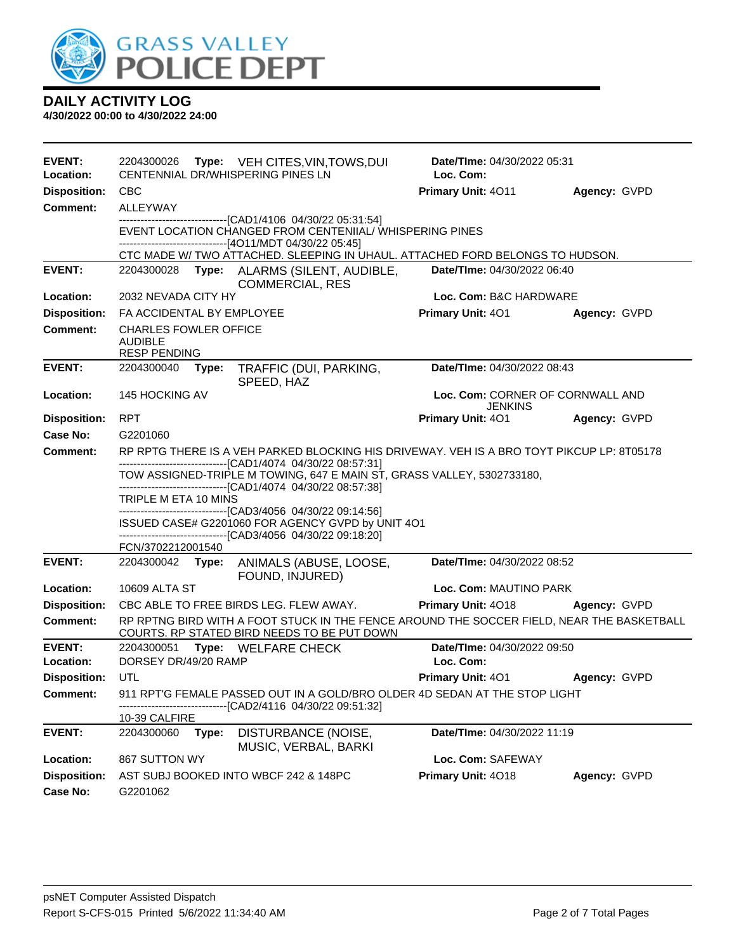

| <b>EVENT:</b><br>Location: | 2204300026<br>Type: VEH CITES, VIN, TOWS, DUI<br>CENTENNIAL DR/WHISPERING PINES LN                                                                                                                     | <b>Date/Time: 04/30/2022 05:31</b><br>Loc. Com:    |              |  |  |  |  |
|----------------------------|--------------------------------------------------------------------------------------------------------------------------------------------------------------------------------------------------------|----------------------------------------------------|--------------|--|--|--|--|
| <b>Disposition:</b>        | <b>CBC</b>                                                                                                                                                                                             | Primary Unit: 4011                                 | Agency: GVPD |  |  |  |  |
| <b>Comment:</b>            | ALLEYWAY                                                                                                                                                                                               |                                                    |              |  |  |  |  |
|                            | --------------------------------[CAD1/4106 04/30/22 05:31:54]<br>EVENT LOCATION CHANGED FROM CENTENIIAL/ WHISPERING PINES<br>-------------------------------[4O11/MDT 04/30/22 05:45]                  |                                                    |              |  |  |  |  |
|                            | CTC MADE W/ TWO ATTACHED. SLEEPING IN UHAUL. ATTACHED FORD BELONGS TO HUDSON.                                                                                                                          |                                                    |              |  |  |  |  |
| <b>EVENT:</b>              | Type: ALARMS (SILENT, AUDIBLE,<br>2204300028<br><b>COMMERCIAL, RES</b>                                                                                                                                 | Date/TIme: 04/30/2022 06:40                        |              |  |  |  |  |
| Location:                  | 2032 NEVADA CITY HY                                                                                                                                                                                    | Loc. Com: B&C HARDWARE                             |              |  |  |  |  |
| <b>Disposition:</b>        | FA ACCIDENTAL BY EMPLOYEE                                                                                                                                                                              | Primary Unit: 401                                  | Agency: GVPD |  |  |  |  |
| <b>Comment:</b>            | <b>CHARLES FOWLER OFFICE</b><br><b>AUDIBLE</b><br><b>RESP PENDING</b>                                                                                                                                  |                                                    |              |  |  |  |  |
| <b>EVENT:</b>              | 2204300040<br>TRAFFIC (DUI, PARKING,<br>Type:<br>SPEED, HAZ                                                                                                                                            | Date/TIme: 04/30/2022 08:43                        |              |  |  |  |  |
| Location:                  | 145 HOCKING AV                                                                                                                                                                                         | Loc. Com: CORNER OF CORNWALL AND<br><b>JENKINS</b> |              |  |  |  |  |
| <b>Disposition:</b>        | <b>RPT</b>                                                                                                                                                                                             | Primary Unit: 401                                  | Agency: GVPD |  |  |  |  |
| <b>Case No:</b>            | G2201060                                                                                                                                                                                               |                                                    |              |  |  |  |  |
| Comment:                   | RP RPTG THERE IS A VEH PARKED BLOCKING HIS DRIVEWAY. VEH IS A BRO TOYT PIKCUP LP: 8T05178                                                                                                              |                                                    |              |  |  |  |  |
|                            | -------------------------------[CAD1/4074 04/30/22 08:57:31]<br>TOW ASSIGNED-TRIPLE M TOWING, 647 E MAIN ST, GRASS VALLEY, 5302733180,<br>-------------------------------[CAD1/4074 04/30/22 08:57:38] |                                                    |              |  |  |  |  |
|                            | TRIPLE M ETA 10 MINS                                                                                                                                                                                   |                                                    |              |  |  |  |  |
|                            | -------------------------------[CAD3/4056 04/30/22 09:14:56]<br>ISSUED CASE# G2201060 FOR AGENCY GVPD by UNIT 4O1                                                                                      |                                                    |              |  |  |  |  |
|                            | ------------------------------[CAD3/4056_04/30/22_09:18:20]                                                                                                                                            |                                                    |              |  |  |  |  |
|                            | FCN/3702212001540                                                                                                                                                                                      |                                                    |              |  |  |  |  |
| <b>EVENT:</b>              | 2204300042 Type:<br>ANIMALS (ABUSE, LOOSE,<br>FOUND, INJURED)                                                                                                                                          | Date/TIme: 04/30/2022 08:52                        |              |  |  |  |  |
| Location:                  | 10609 ALTA ST                                                                                                                                                                                          | Loc. Com: MAUTINO PARK                             |              |  |  |  |  |
| <b>Disposition:</b>        | CBC ABLE TO FREE BIRDS LEG. FLEW AWAY.                                                                                                                                                                 | Primary Unit: 4018                                 | Agency: GVPD |  |  |  |  |
| Comment:                   | RP RPTNG BIRD WITH A FOOT STUCK IN THE FENCE AROUND THE SOCCER FIELD, NEAR THE BASKETBALL<br>COURTS. RP STATED BIRD NEEDS TO BE PUT DOWN                                                               |                                                    |              |  |  |  |  |
| <b>EVENT:</b>              | 2204300051<br>Type: WELFARE CHECK                                                                                                                                                                      | Date/TIme: 04/30/2022 09:50                        |              |  |  |  |  |
| Location:                  | DORSEY DR/49/20 RAMP                                                                                                                                                                                   | Loc. Com:                                          |              |  |  |  |  |
| <b>Disposition:</b>        | UTL                                                                                                                                                                                                    | Primary Unit: 401                                  | Agency: GVPD |  |  |  |  |
| <b>Comment:</b>            | 911 RPT'G FEMALE PASSED OUT IN A GOLD/BRO OLDER 4D SEDAN AT THE STOP LIGHT<br>-----------[CAD2/4116 04/30/22 09:51:32]                                                                                 |                                                    |              |  |  |  |  |
| <b>EVENT:</b>              | 10-39 CALFIRE<br>2204300060<br>Type:<br>DISTURBANCE (NOISE,                                                                                                                                            | Date/TIme: 04/30/2022 11:19                        |              |  |  |  |  |
|                            |                                                                                                                                                                                                        |                                                    |              |  |  |  |  |
|                            |                                                                                                                                                                                                        |                                                    |              |  |  |  |  |
| Location:                  | MUSIC, VERBAL, BARKI<br>867 SUTTON WY                                                                                                                                                                  | Loc. Com: SAFEWAY                                  |              |  |  |  |  |
| <b>Disposition:</b>        | AST SUBJ BOOKED INTO WBCF 242 & 148PC                                                                                                                                                                  | Primary Unit: 4018                                 | Agency: GVPD |  |  |  |  |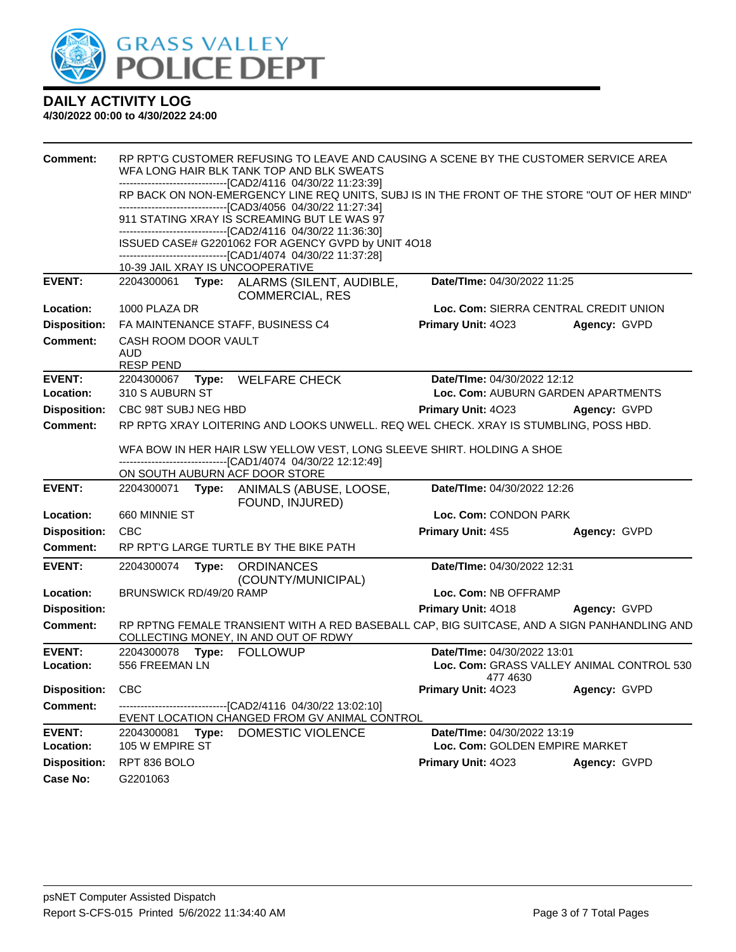

| Comment:            | RP RPT'G CUSTOMER REFUSING TO LEAVE AND CAUSING A SCENE BY THE CUSTOMER SERVICE AREA<br>WFA LONG HAIR BLK TANK TOP AND BLK SWEATS<br>-------------------------------[CAD2/4116 04/30/22 11:23:39]<br>RP BACK ON NON-EMERGENCY LINE REQ UNITS, SUBJ IS IN THE FRONT OF THE STORE "OUT OF HER MIND"<br>-------------------------------[CAD3/4056 04/30/22 11:27:34] |       |                                                                                                                                     |                                |                                           |  |
|---------------------|-------------------------------------------------------------------------------------------------------------------------------------------------------------------------------------------------------------------------------------------------------------------------------------------------------------------------------------------------------------------|-------|-------------------------------------------------------------------------------------------------------------------------------------|--------------------------------|-------------------------------------------|--|
|                     |                                                                                                                                                                                                                                                                                                                                                                   |       |                                                                                                                                     |                                |                                           |  |
|                     |                                                                                                                                                                                                                                                                                                                                                                   |       | 911 STATING XRAY IS SCREAMING BUT LE WAS 97<br>-------------------------------[CAD2/4116 04/30/22 11:36:30]                         |                                |                                           |  |
|                     |                                                                                                                                                                                                                                                                                                                                                                   |       | ISSUED CASE# G2201062 FOR AGENCY GVPD by UNIT 4O18<br>------------------------------[CAD1/4074 04/30/22 11:37:28]                   |                                |                                           |  |
|                     |                                                                                                                                                                                                                                                                                                                                                                   |       | 10-39 JAIL XRAY IS UNCOOPERATIVE                                                                                                    |                                |                                           |  |
| <b>EVENT:</b>       | 2204300061                                                                                                                                                                                                                                                                                                                                                        |       | Type: ALARMS (SILENT, AUDIBLE,<br><b>COMMERCIAL, RES</b>                                                                            | Date/TIme: 04/30/2022 11:25    |                                           |  |
| Location:           | 1000 PLAZA DR                                                                                                                                                                                                                                                                                                                                                     |       |                                                                                                                                     |                                | Loc. Com: SIERRA CENTRAL CREDIT UNION     |  |
| <b>Disposition:</b> |                                                                                                                                                                                                                                                                                                                                                                   |       | FA MAINTENANCE STAFF, BUSINESS C4                                                                                                   | Primary Unit: 4023             | Agency: GVPD                              |  |
| <b>Comment:</b>     | CASH ROOM DOOR VAULT<br><b>AUD</b><br><b>RESP PEND</b>                                                                                                                                                                                                                                                                                                            |       |                                                                                                                                     |                                |                                           |  |
| <b>EVENT:</b>       |                                                                                                                                                                                                                                                                                                                                                                   |       | 2204300067 Type: WELFARE CHECK                                                                                                      | Date/TIme: 04/30/2022 12:12    |                                           |  |
| Location:           | 310 S AUBURN ST                                                                                                                                                                                                                                                                                                                                                   |       |                                                                                                                                     |                                | Loc. Com: AUBURN GARDEN APARTMENTS        |  |
| <b>Disposition:</b> | CBC 98T SUBJ NEG HBD                                                                                                                                                                                                                                                                                                                                              |       |                                                                                                                                     | Primary Unit: 4023             | Agency: GVPD                              |  |
| <b>Comment:</b>     |                                                                                                                                                                                                                                                                                                                                                                   |       | RP RPTG XRAY LOITERING AND LOOKS UNWELL. REQ WEL CHECK. XRAY IS STUMBLING, POSS HBD.                                                |                                |                                           |  |
|                     |                                                                                                                                                                                                                                                                                                                                                                   |       | WFA BOW IN HER HAIR LSW YELLOW VEST, LONG SLEEVE SHIRT. HOLDING A SHOE                                                              |                                |                                           |  |
|                     | -------------------------------[CAD1/4074 04/30/22 12:12:49]                                                                                                                                                                                                                                                                                                      |       |                                                                                                                                     |                                |                                           |  |
|                     |                                                                                                                                                                                                                                                                                                                                                                   |       | ON SOUTH AUBURN ACF DOOR STORE                                                                                                      |                                |                                           |  |
| <b>EVENT:</b>       |                                                                                                                                                                                                                                                                                                                                                                   |       | 2204300071 Type: ANIMALS (ABUSE, LOOSE,<br>FOUND, INJURED)                                                                          | Date/TIme: 04/30/2022 12:26    |                                           |  |
| Location:           | 660 MINNIE ST                                                                                                                                                                                                                                                                                                                                                     |       |                                                                                                                                     | Loc. Com: CONDON PARK          |                                           |  |
| <b>Disposition:</b> | <b>CBC</b>                                                                                                                                                                                                                                                                                                                                                        |       |                                                                                                                                     | <b>Primary Unit: 4S5</b>       | Agency: GVPD                              |  |
| Comment:            |                                                                                                                                                                                                                                                                                                                                                                   |       | RP RPT'G LARGE TURTLE BY THE BIKE PATH                                                                                              |                                |                                           |  |
| <b>EVENT:</b>       | 2204300074                                                                                                                                                                                                                                                                                                                                                        |       | Type: ORDINANCES<br>(COUNTY/MUNICIPAL)                                                                                              | Date/TIme: 04/30/2022 12:31    |                                           |  |
| Location:           | BRUNSWICK RD/49/20 RAMP                                                                                                                                                                                                                                                                                                                                           |       |                                                                                                                                     | Loc. Com: NB OFFRAMP           |                                           |  |
| <b>Disposition:</b> |                                                                                                                                                                                                                                                                                                                                                                   |       |                                                                                                                                     | <b>Primary Unit: 4018</b>      | Agency: GVPD                              |  |
| <b>Comment:</b>     |                                                                                                                                                                                                                                                                                                                                                                   |       | RP RPTNG FEMALE TRANSIENT WITH A RED BASEBALL CAP, BIG SUITCASE, AND A SIGN PANHANDLING AND<br>COLLECTING MONEY, IN AND OUT OF RDWY |                                |                                           |  |
| <b>EVENT:</b>       |                                                                                                                                                                                                                                                                                                                                                                   |       |                                                                                                                                     | Date/TIme: 04/30/2022 13:01    |                                           |  |
| Location:           | 556 FREEMAN LN                                                                                                                                                                                                                                                                                                                                                    |       |                                                                                                                                     | 477 4630                       | Loc. Com: GRASS VALLEY ANIMAL CONTROL 530 |  |
| Disposition: CBC    |                                                                                                                                                                                                                                                                                                                                                                   |       |                                                                                                                                     | Primary Unit: 4023             | Agency: GVPD                              |  |
| <b>Comment:</b>     |                                                                                                                                                                                                                                                                                                                                                                   |       | -------------------------------[CAD2/4116 04/30/22 13:02:10]<br>EVENT LOCATION CHANGED FROM GV ANIMAL CONTROL                       |                                |                                           |  |
| <b>EVENT:</b>       | 2204300081                                                                                                                                                                                                                                                                                                                                                        | Type: | DOMESTIC VIOLENCE                                                                                                                   | Date/TIme: 04/30/2022 13:19    |                                           |  |
| Location:           | 105 W EMPIRE ST                                                                                                                                                                                                                                                                                                                                                   |       |                                                                                                                                     | Loc. Com: GOLDEN EMPIRE MARKET |                                           |  |
| <b>Disposition:</b> | RPT 836 BOLO                                                                                                                                                                                                                                                                                                                                                      |       |                                                                                                                                     | Primary Unit: 4023             | Agency: GVPD                              |  |
| <b>Case No:</b>     | G2201063                                                                                                                                                                                                                                                                                                                                                          |       |                                                                                                                                     |                                |                                           |  |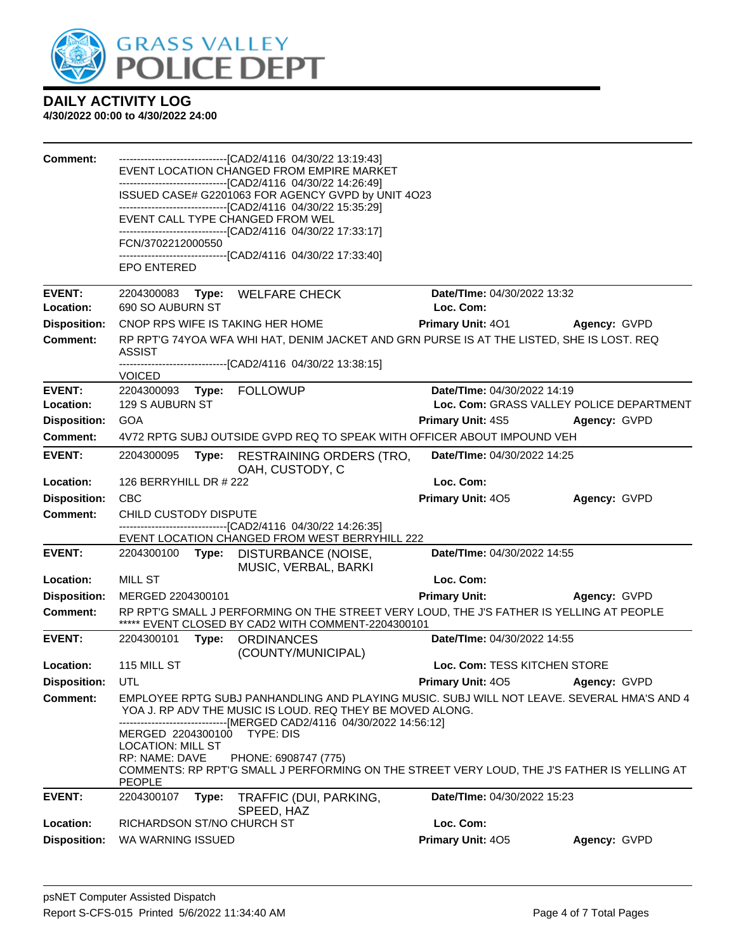

| <b>Comment:</b>     |                                               |       | --------------------------------[CAD2/4116 04/30/22 13:19:43]<br>EVENT LOCATION CHANGED FROM EMPIRE MARKET                                                                                                             |                              |                                          |
|---------------------|-----------------------------------------------|-------|------------------------------------------------------------------------------------------------------------------------------------------------------------------------------------------------------------------------|------------------------------|------------------------------------------|
|                     |                                               |       | -------------------------------[CAD2/4116 04/30/22 14:26:49]                                                                                                                                                           |                              |                                          |
|                     |                                               |       | ISSUED CASE# G2201063 FOR AGENCY GVPD by UNIT 4O23                                                                                                                                                                     |                              |                                          |
|                     |                                               |       | -------------------------------[CAD2/4116 04/30/22 15:35:29]<br>EVENT CALL TYPE CHANGED FROM WEL<br>-------------------------------[CAD2/4116 04/30/22 17:33:17]                                                       |                              |                                          |
|                     | FCN/3702212000550                             |       |                                                                                                                                                                                                                        |                              |                                          |
|                     |                                               |       | -------------------------------[CAD2/4116 04/30/22 17:33:40]                                                                                                                                                           |                              |                                          |
|                     | <b>EPO ENTERED</b>                            |       |                                                                                                                                                                                                                        |                              |                                          |
| <b>EVENT:</b>       |                                               |       | 2204300083 Type: WELFARE CHECK                                                                                                                                                                                         | Date/TIme: 04/30/2022 13:32  |                                          |
| Location:           | 690 SO AUBURN ST                              |       |                                                                                                                                                                                                                        | Loc. Com:                    |                                          |
| <b>Disposition:</b> |                                               |       | CNOP RPS WIFE IS TAKING HER HOME                                                                                                                                                                                       | <b>Primary Unit: 401</b>     | Agency: GVPD                             |
| <b>Comment:</b>     | ASSIST                                        |       | RP RPT'G 74YOA WFA WHI HAT, DENIM JACKET AND GRN PURSE IS AT THE LISTED, SHE IS LOST. REQ                                                                                                                              |                              |                                          |
|                     | <b>VOICED</b>                                 |       |                                                                                                                                                                                                                        |                              |                                          |
| <b>EVENT:</b>       | 2204300093                                    |       | Type: FOLLOWUP                                                                                                                                                                                                         | Date/TIme: 04/30/2022 14:19  |                                          |
| Location:           | 129 S AUBURN ST                               |       |                                                                                                                                                                                                                        |                              | Loc. Com: GRASS VALLEY POLICE DEPARTMENT |
| <b>Disposition:</b> | <b>GOA</b>                                    |       |                                                                                                                                                                                                                        | <b>Primary Unit: 4S5</b>     | Agency: GVPD                             |
| <b>Comment:</b>     |                                               |       | 4V72 RPTG SUBJ OUTSIDE GVPD REQ TO SPEAK WITH OFFICER ABOUT IMPOUND VEH                                                                                                                                                |                              |                                          |
| <b>EVENT:</b>       | 2204300095                                    | Type: | <b>RESTRAINING ORDERS (TRO,</b><br>OAH, CUSTODY, C                                                                                                                                                                     | Date/TIme: 04/30/2022 14:25  |                                          |
| Location:           | 126 BERRYHILL DR # 222                        |       |                                                                                                                                                                                                                        | Loc. Com:                    |                                          |
| <b>Disposition:</b> | <b>CBC</b>                                    |       |                                                                                                                                                                                                                        | Primary Unit: 405            | Agency: GVPD                             |
| <b>Comment:</b>     | CHILD CUSTODY DISPUTE                         |       |                                                                                                                                                                                                                        |                              |                                          |
|                     |                                               |       | ------------------------------[CAD2/4116  04/30/22 14:26:35]<br>EVENT LOCATION CHANGED FROM WEST BERRYHILL 222                                                                                                         |                              |                                          |
| <b>EVENT:</b>       |                                               |       | 2204300100 Type: DISTURBANCE (NOISE,<br>MUSIC, VERBAL, BARKI                                                                                                                                                           | Date/TIme: 04/30/2022 14:55  |                                          |
| Location:           | <b>MILL ST</b>                                |       |                                                                                                                                                                                                                        | Loc. Com:                    |                                          |
| <b>Disposition:</b> | MERGED 2204300101                             |       |                                                                                                                                                                                                                        | <b>Primary Unit:</b>         | <b>Agency: GVPD</b>                      |
| <b>Comment:</b>     |                                               |       | RP RPT'G SMALL J PERFORMING ON THE STREET VERY LOUD, THE J'S FATHER IS YELLING AT PEOPLE<br>***** EVENT CLOSED BY CAD2 WITH COMMENT-2204300101                                                                         |                              |                                          |
| <b>EVENT:</b>       | 2204300101                                    |       | Type: ORDINANCES<br>(COUNTY/MUNICIPAL)                                                                                                                                                                                 | Date/TIme: 04/30/2022 14:55  |                                          |
| Location:           | 115 MILL ST                                   |       |                                                                                                                                                                                                                        | Loc. Com: TESS KITCHEN STORE |                                          |
| <b>Disposition:</b> | UTL                                           |       |                                                                                                                                                                                                                        | <b>Primary Unit: 405</b>     | Agency: GVPD                             |
| <b>Comment:</b>     |                                               |       | EMPLOYEE RPTG SUBJ PANHANDLING AND PLAYING MUSIC. SUBJ WILL NOT LEAVE. SEVERAL HMA'S AND 4<br>YOA J. RP ADV THE MUSIC IS LOUD. REQ THEY BE MOVED ALONG.<br>---------------------[MERGED CAD2/4116 04/30/2022 14:56:12] |                              |                                          |
|                     | MERGED 2204300100<br><b>LOCATION: MILL ST</b> |       | TYPE: DIS                                                                                                                                                                                                              |                              |                                          |
|                     | RP: NAME: DAVE<br>PEOPLE                      |       | PHONE: 6908747 (775)<br>COMMENTS: RP RPT'G SMALL J PERFORMING ON THE STREET VERY LOUD, THE J'S FATHER IS YELLING AT                                                                                                    |                              |                                          |
| <b>EVENT:</b>       | 2204300107                                    | Type: | TRAFFIC (DUI, PARKING,<br>SPEED, HAZ                                                                                                                                                                                   | Date/TIme: 04/30/2022 15:23  |                                          |
| Location:           | RICHARDSON ST/NO CHURCH ST                    |       |                                                                                                                                                                                                                        | Loc. Com:                    |                                          |
| <b>Disposition:</b> | WA WARNING ISSUED                             |       |                                                                                                                                                                                                                        | Primary Unit: 405            | Agency: GVPD                             |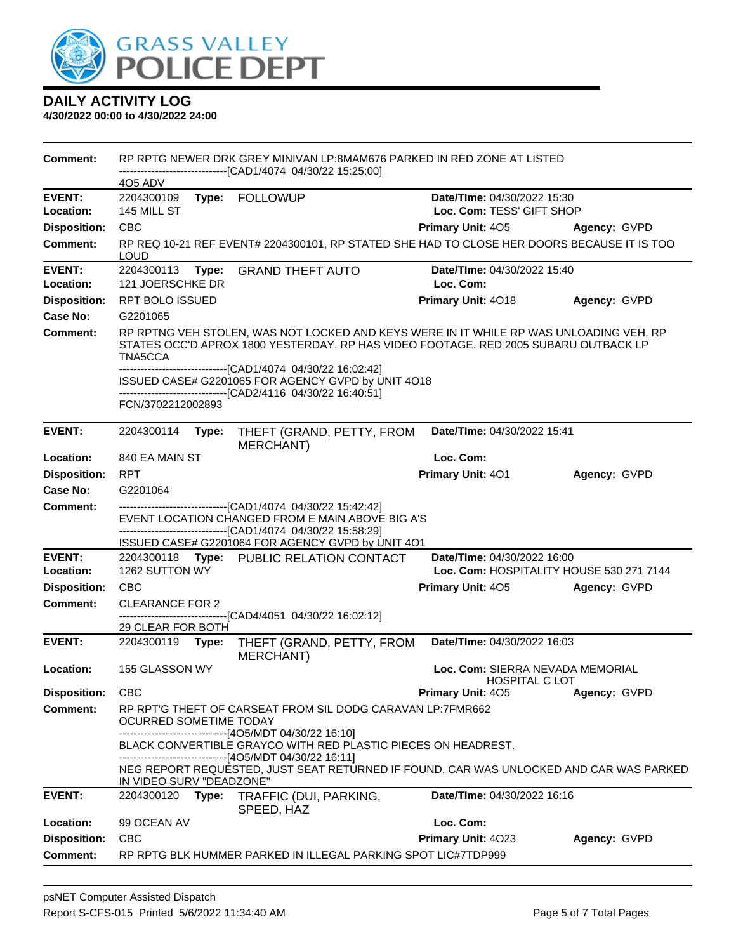

| Comment:                   |                                                                                                                |       | RP RPTG NEWER DRK GREY MINIVAN LP:8MAM676 PARKED IN RED ZONE AT LISTED                                                                                                               |                                                          |              |  |
|----------------------------|----------------------------------------------------------------------------------------------------------------|-------|--------------------------------------------------------------------------------------------------------------------------------------------------------------------------------------|----------------------------------------------------------|--------------|--|
|                            | 405 ADV                                                                                                        |       | -------------------------------[CAD1/4074_04/30/22_15:25:00]                                                                                                                         |                                                          |              |  |
| <b>EVENT:</b>              | 2204300109                                                                                                     |       | Type: FOLLOWUP                                                                                                                                                                       | Date/TIme: 04/30/2022 15:30                              |              |  |
| Location:                  | 145 MILL ST                                                                                                    |       |                                                                                                                                                                                      | Loc. Com: TESS' GIFT SHOP                                |              |  |
| <b>Disposition:</b>        | <b>CBC</b>                                                                                                     |       |                                                                                                                                                                                      | Primary Unit: 405                                        | Agency: GVPD |  |
| <b>Comment:</b>            | <b>LOUD</b>                                                                                                    |       | RP REQ 10-21 REF EVENT# 2204300101, RP STATED SHE HAD TO CLOSE HER DOORS BECAUSE IT IS TOO                                                                                           |                                                          |              |  |
| <b>EVENT:</b><br>Location: | <b>GRAND THEFT AUTO</b><br>Date/TIme: 04/30/2022 15:40<br>2204300113<br>Type:<br>121 JOERSCHKE DR<br>Loc. Com: |       |                                                                                                                                                                                      |                                                          |              |  |
| <b>Disposition:</b>        | RPT BOLO ISSUED                                                                                                |       |                                                                                                                                                                                      | Primary Unit: 4018                                       | Agency: GVPD |  |
| Case No:                   | G2201065                                                                                                       |       |                                                                                                                                                                                      |                                                          |              |  |
| Comment:                   | TNA5CCA                                                                                                        |       | RP RPTNG VEH STOLEN, WAS NOT LOCKED AND KEYS WERE IN IT WHILE RP WAS UNLOADING VEH, RP<br>STATES OCC'D APROX 1800 YESTERDAY, RP HAS VIDEO FOOTAGE. RED 2005 SUBARU OUTBACK LP        |                                                          |              |  |
|                            |                                                                                                                |       | -------------------------------[CAD1/4074 04/30/22 16:02:42]<br>ISSUED CASE# G2201065 FOR AGENCY GVPD by UNIT 4O18<br>---------------------------------[CAD2/4116 04/30/22 16:40:51] |                                                          |              |  |
|                            | FCN/3702212002893                                                                                              |       |                                                                                                                                                                                      |                                                          |              |  |
| <b>EVENT:</b>              | 2204300114                                                                                                     | Type: | THEFT (GRAND, PETTY, FROM<br><b>MERCHANT)</b>                                                                                                                                        | Date/TIme: 04/30/2022 15:41                              |              |  |
| Location:                  | 840 EA MAIN ST                                                                                                 |       |                                                                                                                                                                                      | Loc. Com:                                                |              |  |
| <b>Disposition:</b>        | <b>RPT</b>                                                                                                     |       |                                                                                                                                                                                      | Primary Unit: 401                                        | Agency: GVPD |  |
| Case No:                   | G2201064                                                                                                       |       |                                                                                                                                                                                      |                                                          |              |  |
| Comment:                   |                                                                                                                |       | -------------------------------[CAD1/4074_04/30/22_15:42:42]<br>EVENT LOCATION CHANGED FROM E MAIN ABOVE BIG A'S<br>-------------------------------[CAD1/4074_04/30/22_15:58:29]     |                                                          |              |  |
| <b>EVENT:</b>              |                                                                                                                |       | ISSUED CASE# G2201064 FOR AGENCY GVPD by UNIT 4O1                                                                                                                                    | Date/TIme: 04/30/2022 16:00                              |              |  |
| Location:                  | 1262 SUTTON WY                                                                                                 |       | 2204300118 Type: PUBLIC RELATION CONTACT                                                                                                                                             | Loc. Com: HOSPITALITY HOUSE 530 271 7144                 |              |  |
| <b>Disposition:</b>        | <b>CBC</b>                                                                                                     |       |                                                                                                                                                                                      | <b>Primary Unit: 405</b>                                 | Agency: GVPD |  |
| <b>Comment:</b>            | <b>CLEARANCE FOR 2</b>                                                                                         |       |                                                                                                                                                                                      |                                                          |              |  |
|                            |                                                                                                                |       | ------------------------[CAD4/4051_04/30/22_16:02:12]                                                                                                                                |                                                          |              |  |
| <b>EVENT:</b>              | 29 CLEAR FOR BOTH<br>2204300119                                                                                | Type: | THEFT (GRAND, PETTY, FROM<br><b>MERCHANT)</b>                                                                                                                                        | Date/TIme: 04/30/2022 16:03                              |              |  |
| Location:                  | 155 GLASSON WY                                                                                                 |       |                                                                                                                                                                                      | Loc. Com: SIERRA NEVADA MEMORIAL<br><b>HOSPITAL CLOT</b> |              |  |
| <b>Disposition:</b>        | <b>CBC</b>                                                                                                     |       |                                                                                                                                                                                      | Primary Unit: 405                                        | Agency: GVPD |  |
| Comment:                   | RP RPT'G THEFT OF CARSEAT FROM SIL DODG CARAVAN LP:7FMR662<br><b>OCURRED SOMETIME TODAY</b>                    |       |                                                                                                                                                                                      |                                                          |              |  |
|                            |                                                                                                                |       | -------------------------------[4O5/MDT 04/30/22 16:10]<br>BLACK CONVERTIBLE GRAYCO WITH RED PLASTIC PIECES ON HEADREST.<br>------------------[4O5/MDT 04/30/22 16:11]               |                                                          |              |  |
|                            | IN VIDEO SURV "DEADZONE"                                                                                       |       | NEG REPORT REQUESTED, JUST SEAT RETURNED IF FOUND. CAR WAS UNLOCKED AND CAR WAS PARKED                                                                                               |                                                          |              |  |
| <b>EVENT:</b>              | 2204300120                                                                                                     | Type: | TRAFFIC (DUI, PARKING,<br>SPEED, HAZ                                                                                                                                                 | Date/TIme: 04/30/2022 16:16                              |              |  |
| Location:                  | 99 OCEAN AV                                                                                                    |       |                                                                                                                                                                                      | Loc. Com:                                                |              |  |
| <b>Disposition:</b>        | <b>CBC</b>                                                                                                     |       |                                                                                                                                                                                      | Primary Unit: 4023                                       | Agency: GVPD |  |
| <b>Comment:</b>            |                                                                                                                |       | RP RPTG BLK HUMMER PARKED IN ILLEGAL PARKING SPOT LIC#7TDP999                                                                                                                        |                                                          |              |  |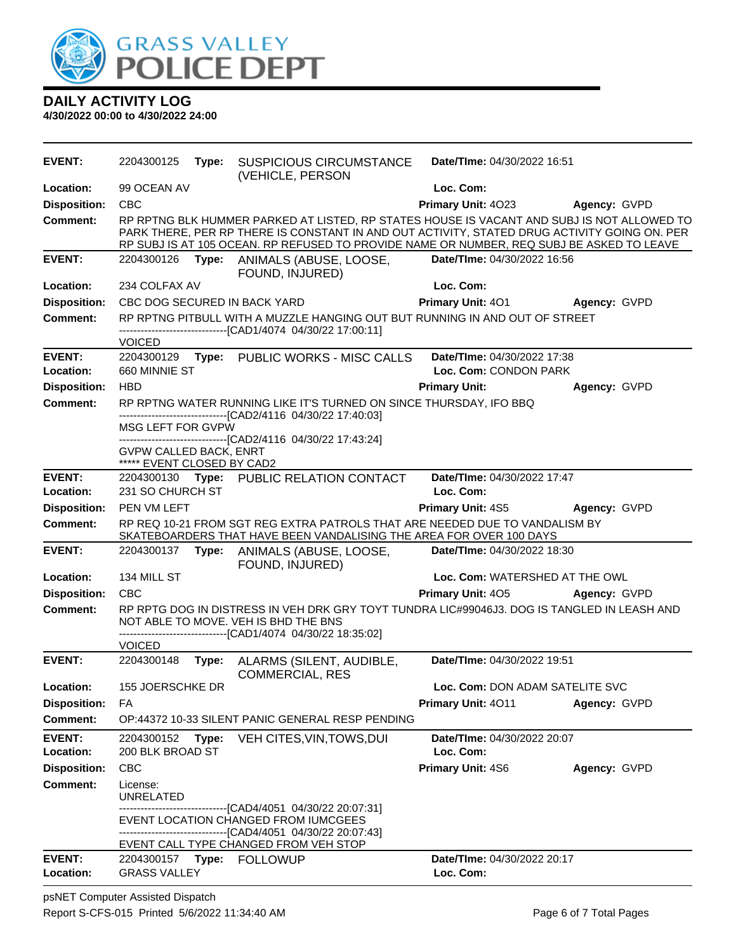

**4/30/2022 00:00 to 4/30/2022 24:00**

| EVENT:                          | 2204300125                                                  |       | <b>Type: SUSPICIOUS CIRCUMSTANCE</b><br>(VEHICLE, PERSON                                                                                                                                                                                                                                | Date/TIme: 04/30/2022 16:51              |                     |
|---------------------------------|-------------------------------------------------------------|-------|-----------------------------------------------------------------------------------------------------------------------------------------------------------------------------------------------------------------------------------------------------------------------------------------|------------------------------------------|---------------------|
| Location:                       | 99 OCEAN AV                                                 |       |                                                                                                                                                                                                                                                                                         | Loc. Com:                                |                     |
| <b>Disposition:</b>             | <b>CBC</b>                                                  |       |                                                                                                                                                                                                                                                                                         | Primary Unit: 4023                       | Agency: GVPD        |
| Comment:                        |                                                             |       | RP RPTNG BLK HUMMER PARKED AT LISTED, RP STATES HOUSE IS VACANT AND SUBJ IS NOT ALLOWED TO<br>PARK THERE, PER RP THERE IS CONSTANT IN AND OUT ACTIVITY, STATED DRUG ACTIVITY GOING ON. PER<br>RP SUBJ IS AT 105 OCEAN. RP REFUSED TO PROVIDE NAME OR NUMBER, REQ SUBJ BE ASKED TO LEAVE |                                          |                     |
| <b>EVENT:</b>                   | 2204300126                                                  |       | Type: ANIMALS (ABUSE, LOOSE,<br>FOUND, INJURED)                                                                                                                                                                                                                                         | Date/TIme: 04/30/2022 16:56              |                     |
| Location:                       | 234 COLFAX AV                                               |       |                                                                                                                                                                                                                                                                                         | Loc. Com:                                |                     |
| <b>Disposition:</b>             |                                                             |       | CBC DOG SECURED IN BACK YARD                                                                                                                                                                                                                                                            | <b>Primary Unit: 401</b>                 | Agency: GVPD        |
| <b>Comment:</b>                 | <b>VOICED</b>                                               |       | RP RPTNG PITBULL WITH A MUZZLE HANGING OUT BUT RUNNING IN AND OUT OF STREET<br>------------------------[CAD1/4074_04/30/22_17:00:11]                                                                                                                                                    |                                          |                     |
| <b>EVENT:</b>                   | 2204300129                                                  |       | Type: PUBLIC WORKS - MISC CALLS                                                                                                                                                                                                                                                         | Date/TIme: 04/30/2022 17:38              |                     |
| Location:                       | 660 MINNIE ST                                               |       |                                                                                                                                                                                                                                                                                         | Loc. Com: CONDON PARK                    |                     |
| <b>Disposition:</b>             | <b>HBD</b>                                                  |       |                                                                                                                                                                                                                                                                                         | <b>Primary Unit:</b>                     | Agency: GVPD        |
| <b>Comment:</b>                 |                                                             |       | RP RPTNG WATER RUNNING LIKE IT'S TURNED ON SINCE THURSDAY, IFO BBQ                                                                                                                                                                                                                      |                                          |                     |
|                                 | MSG LEFT FOR GVPW                                           |       | ------------------------------[CAD2/4116 04/30/22 17:40:03]<br>-------------------------------[CAD2/4116 04/30/22 17:43:24]                                                                                                                                                             |                                          |                     |
|                                 | <b>GVPW CALLED BACK, ENRT</b><br>***** EVENT CLOSED BY CAD2 |       |                                                                                                                                                                                                                                                                                         |                                          |                     |
| <b>EVENT:</b>                   |                                                             |       | 2204300130 Type: PUBLIC RELATION CONTACT                                                                                                                                                                                                                                                | Date/TIme: 04/30/2022 17:47              |                     |
| Location:                       | 231 SO CHURCH ST                                            |       |                                                                                                                                                                                                                                                                                         | Loc. Com:                                |                     |
| <b>Disposition:</b><br>Comment: | PEN VM LEFT                                                 |       | RP REQ 10-21 FROM SGT REG EXTRA PATROLS THAT ARE NEEDED DUE TO VANDALISM BY                                                                                                                                                                                                             | <b>Primary Unit: 4S5</b>                 | Agency: GVPD        |
|                                 |                                                             |       | SKATEBOARDERS THAT HAVE BEEN VANDALISING THE AREA FOR OVER 100 DAYS                                                                                                                                                                                                                     |                                          |                     |
| <b>EVENT:</b>                   |                                                             |       | 2204300137 Type: ANIMALS (ABUSE, LOOSE,<br>FOUND, INJURED)                                                                                                                                                                                                                              | Date/TIme: 04/30/2022 18:30              |                     |
| Location:                       | 134 MILL ST                                                 |       |                                                                                                                                                                                                                                                                                         | Loc. Com: WATERSHED AT THE OWL           |                     |
| <b>Disposition:</b>             | <b>CBC</b>                                                  |       |                                                                                                                                                                                                                                                                                         | <b>Primary Unit: 405</b>                 | <b>Agency: GVPD</b> |
| <b>Comment:</b>                 |                                                             |       | RP RPTG DOG IN DISTRESS IN VEH DRK GRY TOYT TUNDRA LIC#99046J3. DOG IS TANGLED IN LEASH AND<br>NOT ABLE TO MOVE. VEH IS BHD THE BNS<br>-------------------------------[CAD1/4074_04/30/22_18:35:02]                                                                                     |                                          |                     |
|                                 | <b>VOICED</b>                                               |       |                                                                                                                                                                                                                                                                                         |                                          |                     |
| <b>EVENT:</b>                   | 2204300148                                                  | Type: | ALARMS (SILENT, AUDIBLE,<br><b>COMMERCIAL, RES</b>                                                                                                                                                                                                                                      | Date/TIme: 04/30/2022 19:51              |                     |
| Location:                       | 155 JOERSCHKE DR                                            |       |                                                                                                                                                                                                                                                                                         | Loc. Com: DON ADAM SATELITE SVC          |                     |
| <b>Disposition:</b>             | FA                                                          |       |                                                                                                                                                                                                                                                                                         | Primary Unit: 4011                       | Agency: GVPD        |
| <b>Comment:</b>                 |                                                             |       | OP:44372 10-33 SILENT PANIC GENERAL RESP PENDING                                                                                                                                                                                                                                        |                                          |                     |
| <b>EVENT:</b>                   | 2204300152                                                  | Type: | VEH CITES, VIN, TOWS, DUI                                                                                                                                                                                                                                                               | Date/TIme: 04/30/2022 20:07              |                     |
| Location:                       | 200 BLK BROAD ST                                            |       |                                                                                                                                                                                                                                                                                         | Loc. Com:                                |                     |
| <b>Disposition:</b>             | <b>CBC</b>                                                  |       |                                                                                                                                                                                                                                                                                         | Primary Unit: 4S6                        | Agency: GVPD        |
| <b>Comment:</b>                 | License:<br><b>UNRELATED</b>                                |       |                                                                                                                                                                                                                                                                                         |                                          |                     |
|                                 |                                                             |       | ------------------------------[CAD4/4051_04/30/22 20:07:31]<br>EVENT LOCATION CHANGED FROM IUMCGEES                                                                                                                                                                                     |                                          |                     |
|                                 |                                                             |       | ------------------[CAD4/4051_04/30/22 20:07:43]                                                                                                                                                                                                                                         |                                          |                     |
|                                 |                                                             |       | EVENT CALL TYPE CHANGED FROM VEH STOP                                                                                                                                                                                                                                                   |                                          |                     |
| <b>EVENT:</b><br>Location:      | <b>GRASS VALLEY</b>                                         |       |                                                                                                                                                                                                                                                                                         | Date/TIme: 04/30/2022 20:17<br>Loc. Com: |                     |

psNET Computer Assisted Dispatch Report S-CFS-015 Printed 5/6/2022 11:34:40 AM Page 6 of 7 Total Pages